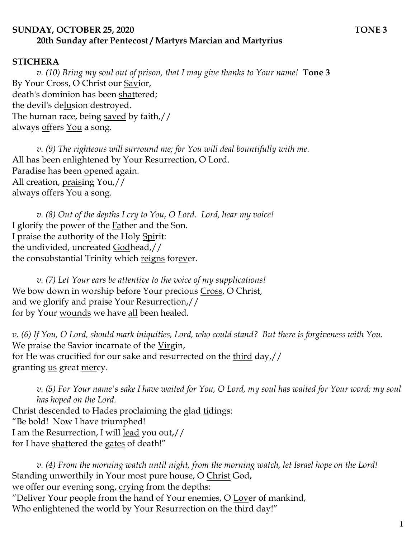## **SUNDAY, OCTOBER 25, 2020 TONE 3 20th Sunday after Pentecost / Martyrs Marcian and Martyrius**

## **STICHERA**

*v. (10) Bring my soul out of prison, that I may give thanks to Your name!* **Tone 3** By Your Cross, O Christ our Savior, death's dominion has been shattered; the devil's delusion destroyed. The human race, being saved by faith,// always offers You a song.

*v. (9) The righteous will surround me; for You will deal bountifully with me.*  All has been enlightened by Your Resurrection, O Lord. Paradise has been opened again. All creation, <u>prais</u>ing You,// always offers You a song.

*v. (8) Out of the depths I cry to You, O Lord. Lord, hear my voice!*  I glorify the power of the Father and the Son. I praise the authority of the Holy Spirit: the undivided, uncreated Godhead,// the consubstantial Trinity which reigns forever.

*v. (7) Let Your ears be attentive to the voice of my supplications!* We bow down in worship before Your precious Cross, O Christ, and we glorify and praise Your Resurrection,// for by Your <u>wounds</u> we have <u>all</u> been healed.

*v. (6) If You, O Lord, should mark iniquities, Lord, who could stand? But there is forgiveness with You.*  We praise the Savior incarnate of the Virgin, for He was crucified for our sake and resurrected on the third day,// granting <u>us</u> great mercy.

*v. (5) For Your name's sake I have waited for You, O Lord, my soul has waited for Your word; my soul has hoped on the Lord.*  Christ descended to Hades proclaiming the glad tidings: "Be bold! Now I have triumphed! I am the Resurrection, I will lead you out,// for I have shattered the gates of death!"

*v. (4) From the morning watch until night, from the morning watch, let Israel hope on the Lord!* Standing unworthily in Your most pure house, O Christ God, we offer our evening song, crying from the depths: "Deliver Your people from the hand of Your enemies, O Lover of mankind, Who enlightened the world by Your Resurrection on the third day!"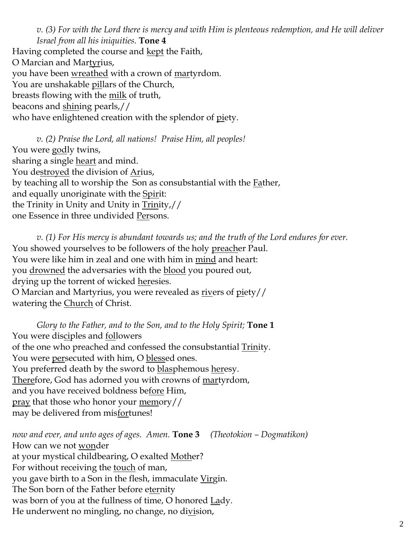*v. (3) For with the Lord there is mercy and with Him is plenteous redemption, and He will deliver Israel from all his iniquities.* **Tone 4** 

Having completed the course and <u>kept</u> the Faith, O Marcian and Martyrius, you have been <u>wreathed</u> with a crown of <u>mar</u>tyrdom. You are unshakable pillars of the Church, breasts flowing with the milk of truth, beacons and shining pearls,// who have enlightened creation with the splendor of piety.

*v. (2) Praise the Lord, all nations! Praise Him, all peoples!* You were godly twins, sharing a single **heart** and mind. You destroyed the division of Arius, by teaching all to worship the Son as consubstantial with the **Father**, and equally unoriginate with the Spirit: the Trinity in Unity and Unity in Trinity,// one Essence in three undivided Persons.

*v. (1) For His mercy is abundant towards us; and the truth of the Lord endures for ever.*  You showed yourselves to be followers of the holy preacher Paul. You were like him in zeal and one with him in mind and heart: you drowned the adversaries with the blood you poured out, drying up the torrent of wicked heresies. O Marcian and Martyrius, you were revealed as rivers of piety// watering the Church of Christ.

*Glory to the Father, and to the Son, and to the Holy Spirit;* **Tone 1** You were disciples and followers of the one who preached and confessed the consubstantial Trinity. You were persecuted with him, O blessed ones. You preferred death by the sword to <u>blas</u>phemous <u>her</u>esy. Therefore, God has adorned you with crowns of martyrdom, and you have received boldness before Him, pray that those who honor your memory// may be delivered from misfortunes!

*now and ever, and unto ages of ages. Amen.* **Tone 3** *(Theotokion – Dogmatikon)* How can we not wonder at your mystical childbearing, O exalted Mother? For without receiving the <u>touch</u> of man, you gave birth to a Son in the flesh, immaculate Virgin. The Son born of the Father before eternity was born of you at the fullness of time, O honored Lady. He underwent no mingling, no change, no division,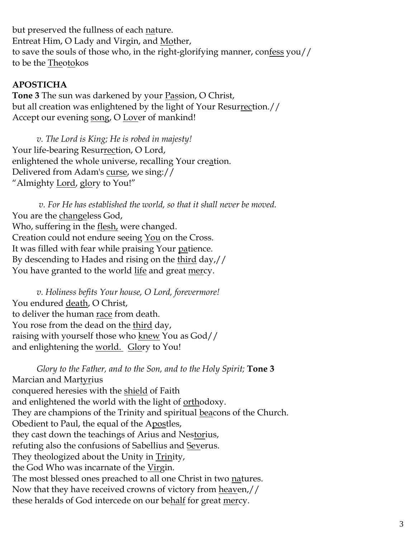but preserved the fullness of each nature. Entreat Him, O Lady and Virgin, and Mother, to save the souls of those who, in the right-glorifying manner, confess you// to be the Theotokos

## **APOSTICHA**

**Tone 3** The sun was darkened by your Passion, O Christ, but all creation was enlightened by the light of Your Resurrection.// Accept our evening song, O Lover of mankind!

*v. The Lord is King; He is robed in majesty!*  Your life-bearing Resurrection, O Lord, enlightened the whole universe, recalling Your creation. Delivered from Adam's curse, we sing:// "Almighty Lord, glory to You!"

*v. For He has established the world, so that it shall never be moved.* You are the changeless God, Who, suffering in the **flesh**, were changed. Creation could not endure seeing You on the Cross. It was filled with fear while praising Your patience. By descending to Hades and rising on the <u>third</u> day,// You have granted to the world <u>life</u> and great <u>mer</u>cy.

*v. Holiness befits Your house, O Lord, forevermore!*  You endured death, O Christ, to deliver the human race from death. You rose from the dead on the third day, raising with yourself those who knew You as God// and enlightening the world. Glory to You!

*Glory to the Father, and to the Son, and to the Holy Spirit;* **Tone 3** Marcian and Martyrius conquered heresies with the shield of Faith and enlightened the world with the light of orthodoxy. They are champions of the Trinity and spiritual beacons of the Church. Obedient to Paul, the equal of the Apostles, they cast down the teachings of Arius and Nestorius, refuting also the confusions of Sabellius and Severus. They theologized about the Unity in Trinity, the God Who was incarnate of the Virgin. The most blessed ones preached to all one Christ in two natures. Now that they have received crowns of victory from heaven,// these heralds of God intercede on our behalf for great mercy.